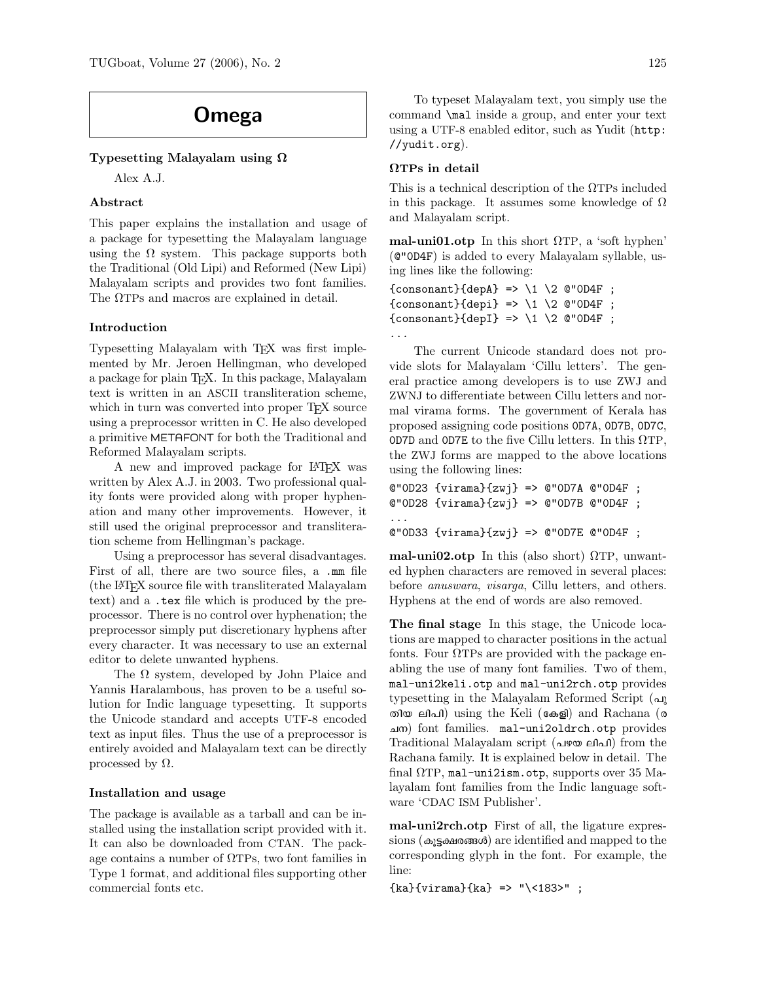# Omega

## Typesetting Malayalam using Ω

Alex A.J.

# Abstract

This paper explains the installation and usage of a package for typesetting the Malayalam language using the  $\Omega$  system. This package supports both the Traditional (Old Lipi) and Reformed (New Lipi) Malayalam scripts and provides two font families. The ΩTPs and macros are explained in detail.

### Introduction

Typesetting Malayalam with TEX was first implemented by Mr. Jeroen Hellingman, who developed a package for plain TEX. In this package, Malayalam text is written in an ASCII transliteration scheme, which in turn was converted into proper TFX source using a preprocessor written in C. He also developed a primitive METAFONT for both the Traditional and Reformed Malayalam scripts.

A new and improved package for L<sup>A</sup>TEX was written by Alex A.J. in 2003. Two professional quality fonts were provided along with proper hyphenation and many other improvements. However, it still used the original preprocessor and transliteration scheme from Hellingman's package.

Using a preprocessor has several disadvantages. First of all, there are two source files, a .mm file (the L<sup>A</sup>TEX source file with transliterated Malayalam text) and a .tex file which is produced by the preprocessor. There is no control over hyphenation; the preprocessor simply put discretionary hyphens after every character. It was necessary to use an external editor to delete unwanted hyphens.

The  $\Omega$  system, developed by John Plaice and Yannis Haralambous, has proven to be a useful solution for Indic language typesetting. It supports the Unicode standard and accepts UTF-8 encoded text as input files. Thus the use of a preprocessor is entirely avoided and Malayalam text can be directly processed by  $\Omega$ .

### Installation and usage

The package is available as a tarball and can be installed using the installation script provided with it. It can also be downloaded from CTAN. The package contains a number of ΩTPs, two font families in Type 1 format, and additional files supporting other commercial fonts etc.

To typeset Malayalam text, you simply use the command \mal inside a group, and enter your text using a UTF-8 enabled editor, such as Yudit (http: //yudit.org).

#### ΩTPs in detail

This is a technical description of the ΩTPs included in this package. It assumes some knowledge of  $\Omega$ and Malayalam script.

mal-uni01.otp In this short  $\Omega$ TP, a 'soft hyphen' (@"0D4F) is added to every Malayalam syllable, using lines like the following:

```
{consonant}{depA} => \1 \2 @"OD4F ;
{consonant}{depi} => \1 \2 @"OD4F ;
{consonant}{dep1} \implies \1 \ 2 \ @ "0D4F ;...
```
The current Unicode standard does not provide slots for Malayalam 'Cillu letters'. The general practice among developers is to use ZWJ and ZWNJ to differentiate between Cillu letters and normal virama forms. The government of Kerala has proposed assigning code positions 0D7A, 0D7B, 0D7C, 0D7D and 0D7E to the five Cillu letters. In this  $\Omega$ TP, the ZWJ forms are mapped to the above locations using the following lines:

```
@"0D23 {virama}{zwj} => @"0D7A @"0D4F ;
@"0D28 {virama}{zwj} => @"0D7B @"0D4F ;
...
@"0D33 {virama}{zwj} => @"0D7E @"0D4F ;
```
mal-uni02.otp In this (also short)  $\Omega$ TP, unwanted hyphen characters are removed in several places: before anuswara, visarga, Cillu letters, and others. Hyphens at the end of words are also removed.

The final stage In this stage, the Unicode locations are mapped to character positions in the actual fonts. Four  $\Omega$ TPs are provided with the package enabling the use of many font families. Two of them, mal-uni2keli.otp and mal-uni2rch.otp provides typesetting in the Malayalam Reformed Script  $(\Delta)$ തിയ ലിപി) using the Keli (കേളി) and Rachana (ര N\) font families. mal-uni2oldrch.otp provides Traditional Malayalam script (പഴയ ലിപി) from the Rachana family. It is explained below in detail. The final  $\Omega$ TP, mal-uni2ism.otp, supports over 35 Malayalam font families from the Indic language software 'CDAC ISM Publisher'.

mal-uni2rch.otp First of all, the ligature expressions ( $\omega$ <sub>}</sub> salves and mapped to the corresponding glyph in the font. For example, the line:

 ${kab}$ {virama}{ka} => "\<183>" ;